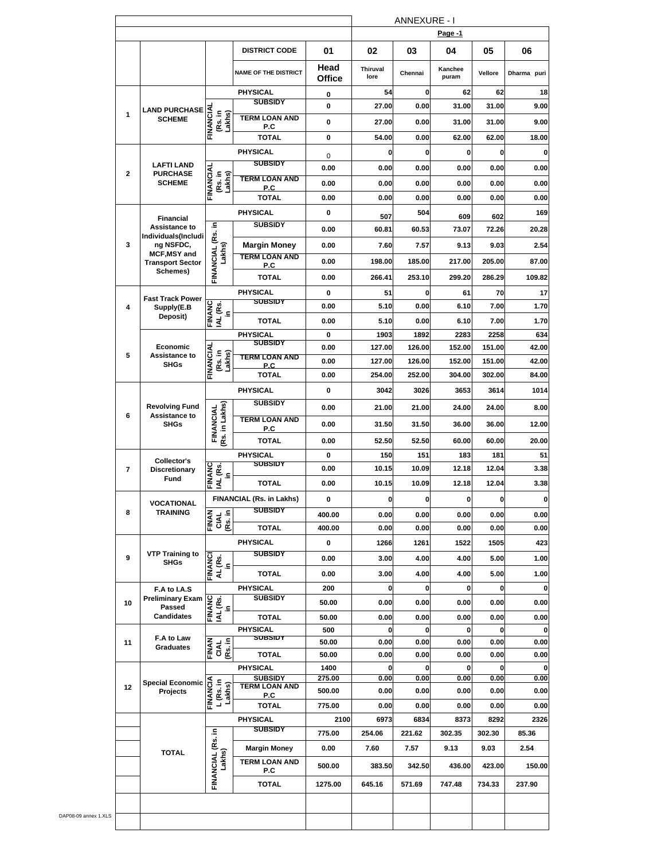|              |                                                |                                       |                                   |                |                         |                | Page -1          |                |              |
|--------------|------------------------------------------------|---------------------------------------|-----------------------------------|----------------|-------------------------|----------------|------------------|----------------|--------------|
|              |                                                |                                       | <b>DISTRICT CODE</b>              | 01             | 02                      | 03             | 04               | 05             | 06           |
|              |                                                |                                       | <b>NAME OF THE DISTRICT</b>       | Head<br>Office | <b>Thiruval</b><br>lore | Chennai        | Kanchee<br>puram | Vellore        | Dharma puri  |
|              |                                                |                                       | <b>PHYSICAL</b>                   | 0              | 54                      | $\mathbf 0$    | 62               | 62             | 18           |
|              | <b>LAND PURCHASE</b>                           |                                       | <b>SUBSIDY</b>                    | 0              | 27.00                   | 0.00           | 31.00            | 31.00          | 9.00         |
| 1            | <b>SCHEME</b>                                  | FINANCIAI<br>(Rs. in<br>Lakhs)        | <b>TERM LOAN AND</b>              | 0              | 27.00                   | 0.00           | 31.00            | 31.00          | 9.00         |
|              |                                                |                                       | P.C<br><b>TOTAL</b>               | 0              | 54.00                   | 0.00           | 62.00            | 62.00          | 18.00        |
|              |                                                |                                       | <b>PHYSICAL</b>                   |                | 0                       | $\mathbf{0}$   | 0                | 0              | 0            |
|              | <b>LAFTI LAND</b>                              |                                       | <b>SUBSIDY</b>                    | 0              |                         |                |                  |                |              |
| $\mathbf{2}$ | <b>PURCHASE</b>                                | <b>FINANCIAL</b><br>(Rs. in<br>Lakhs) | <b>TERM LOAN AND</b>              | 0.00           | 0.00                    | 0.00           | 0.00             | 0.00           | 0.00         |
|              | <b>SCHEME</b>                                  |                                       | <b>P.C</b>                        | 0.00           | 0.00                    | 0.00           | 0.00             | 0.00           | 0.00         |
|              |                                                |                                       | <b>TOTAL</b>                      | 0.00           | 0.00                    | 0.00           | 0.00             | 0.00           | 0.00         |
|              | <b>Financial</b>                               |                                       | <b>PHYSICAL</b>                   | 0              | 507                     | 504            | 609              | 602            | 169          |
|              | <b>Assistance to</b><br>Individuals(Includi    | FINANCIAL (Rs. in                     | <b>SUBSIDY</b>                    | 0.00           | 60.81                   | 60.53          | 73.07            | 72.26          | 20.28        |
| 3            | ng NSFDC,                                      |                                       | <b>Margin Money</b>               | 0.00           | 7.60                    | 7.57           | 9.13             | 9.03           | 2.54         |
|              | <b>MCF, MSY and</b><br><b>Transport Sector</b> | Lakhs)                                | <b>TERM LOAN AND</b>              | 0.00           | 198.00                  | 185.00         | 217.00           | 205.00         | 87.00        |
|              | Schemes)                                       |                                       | P.C<br><b>TOTAL</b>               | 0.00           | 266.41                  | 253.10         | 299.20           | 286.29         | 109.82       |
|              |                                                |                                       | <b>PHYSICAL</b>                   |                |                         |                |                  | 70             |              |
|              | <b>Fast Track Power</b>                        |                                       | <b>SUBSIDY</b>                    | 0<br>0.00      | 51<br>5.10              | 0<br>0.00      | 61<br>6.10       | 7.00           | 17<br>1.70   |
| 4            | Supply(E.B<br>Deposit)                         | וט<br>NT (צפי<br>NNVNC                |                                   | 0.00           | 5.10                    |                |                  |                |              |
|              |                                                |                                       | <b>TOTAL</b>                      |                |                         | 0.00           | 6.10             | 7.00           | 1.70         |
|              | Economic                                       |                                       | <b>PHYSICAL</b><br><b>SUBSIDY</b> | 0<br>0.00      | 1903<br>127.00          | 1892<br>126.00 | 2283<br>152.00   | 2258<br>151.00 | 634<br>42.00 |
| 5            | <b>Assistance to</b>                           | FINANCIAL                             | <b>TERM LOAN AND</b>              | 0.00           |                         |                |                  |                | 42.00        |
|              | <b>SHGs</b>                                    | (Rs. in<br>Lakhs)                     | P.C.                              |                | 127.00                  | 126.00         | 152.00           | 151.00         |              |
|              |                                                |                                       | <b>TOTAL</b>                      | 0.00           | 254.00                  | 252.00         | 304.00           | 302.00         | 84.00        |
|              |                                                |                                       | <b>PHYSICAL</b>                   | 0              | 3042                    | 3026           | 3653             | 3614           | 1014         |
| 6            | <b>Revolving Fund</b><br><b>Assistance to</b>  |                                       | <b>SUBSIDY</b>                    | 0.00           | 21.00                   | 21.00          | 24.00            | 24.00          | 8.00         |
|              | <b>SHGs</b>                                    |                                       | <b>TERM LOAN AND</b><br>P.C       | 0.00           | 31.50                   | 31.50          | 36.00            | 36.00          | 12.00        |
|              |                                                | FINANCIAL<br>(Rs. in Lakhs)           | TOTAL                             | 0.00           | 52.50                   | 52.50          | 60.00            | 60.00          | 20.00        |
|              |                                                |                                       | <b>PHYSICAL</b>                   | 0              | 150                     | 151            | 183              | 181            | 51           |
| 7            | Collector's<br><b>Discretionary</b>            |                                       | <b>SUBSIDY</b>                    | 0.00           | 10.15                   | 10.09          | 12.18            | 12.04          | 3.38         |
|              | Fund                                           | FINANC<br>IAL (Rs.<br>in              | TOTAL                             | 0.00           | 10.15                   | 10.09          | 12.18            | 12.04          | 3.38         |
|              |                                                |                                       | FINANCIAL (Rs. in Lakhs)          | 0              | 0                       | $\mathbf{0}$   | 0                | 0              | $\bf{0}$     |
| 8            | VOCATIONAL<br><b>TRAINING</b>                  |                                       | <b>SUBSIDY</b>                    | 400.00         | 0.00                    | 0.00           | 0.00             | 0.00           | 0.00         |
|              |                                                | FINAN<br>CIAL<br>(Rs. in              | <b>TOTAL</b>                      | 400.00         | 0.00                    | 0.00           | 0.00             | 0.00           | 0.00         |
|              |                                                |                                       | PHYSICAL                          | 0              | 1266                    | 1261           | 1522             | 1505           | 423          |
|              | <b>VTP Training to</b>                         |                                       | <b>SUBSIDY</b>                    |                |                         |                |                  |                |              |
| 9            | <b>SHGs</b>                                    | iu<br>AL (Rs.<br>FINANCI              |                                   | 0.00           | 3.00                    | 4.00           | 4.00             | 5.00           | 1.00         |
|              |                                                |                                       | TOTAL                             | 0.00           | 3.00                    | 4.00           | 4.00             | 5.00           | 1.00         |
|              | F.A to I.A.S<br><b>Preliminary Exam</b>        |                                       | PHYSICAL<br><b>SUBSIDY</b>        | 200            | 0                       | 0              | 0                | 0              | 0            |
| 10           | Passed                                         | וט<br>וער (צפ׳<br>LINVNC              |                                   | 50.00          | 0.00                    | 0.00           | 0.00             | 0.00           | 0.00         |
|              | <b>Candidates</b>                              |                                       | <b>TOTAL</b>                      | 50.00          | 0.00                    | 0.00           | 0.00             | 0.00           | 0.00         |
|              | F.A to Law                                     |                                       | <b>PHYSICAL</b><br>ຉຩໞຉຩຐ         | 500            | 0                       | $\mathbf 0$    | 0                | 0              | $\bf{0}$     |
| 11           | <b>Graduates</b>                               | FINAN<br>CIAL<br>(Rs. in              | <b>TOTAL</b>                      | 50.00<br>50.00 | 0.00<br>0.00            | 0.00<br>0.00   | 0.00<br>0.00     | 0.00<br>0.00   | 0.00<br>0.00 |
|              |                                                |                                       | PHYSICAL                          | 1400           | 0                       | $\mathbf 0$    | 0                | 0              | $\mathbf 0$  |
|              | <b>Special Economic</b>                        |                                       | <b>SUBSIDY</b>                    | 275.00         | 0.00                    | 0.00           | 0.00             | 0.00           | 0.00         |
| 12           | Projects                                       | FINANCIA<br>L (Rs. in<br>Lakhs)       | <b>TERM LOAN AND</b><br>P.C       | 500.00         | 0.00                    | 0.00           | 0.00             | 0.00           | 0.00         |
|              |                                                |                                       | <b>TOTAL</b>                      | 775.00         | 0.00                    | 0.00           | 0.00             | 0.00           | 0.00         |
|              |                                                |                                       | <b>PHYSICAL</b>                   | 2100           | 6973                    | 6834           | 8373             | 8292           | 2326         |
|              |                                                | ٤.                                    | <b>SUBSIDY</b>                    | 775.00         | 254.06                  | 221.62         | 302.35           | 302.30         | 85.36        |
|              |                                                |                                       | <b>Margin Money</b>               | 0.00           | 7.60                    | 7.57           | 9.13             | 9.03           | 2.54         |
|              | <b>TOTAL</b>                                   | FINANCIAL (Rs.<br>Lakhs)              | <b>TERM LOAN AND</b>              |                |                         |                |                  |                | 150.00       |
|              |                                                |                                       | P.C                               | 500.00         | 383.50                  | 342.50         | 436.00           | 423.00         |              |
|              |                                                |                                       |                                   |                |                         |                |                  |                |              |
|              |                                                |                                       | TOTAL                             | 1275.00        | 645.16                  | 571.69         | 747.48           | 734.33         | 237.90       |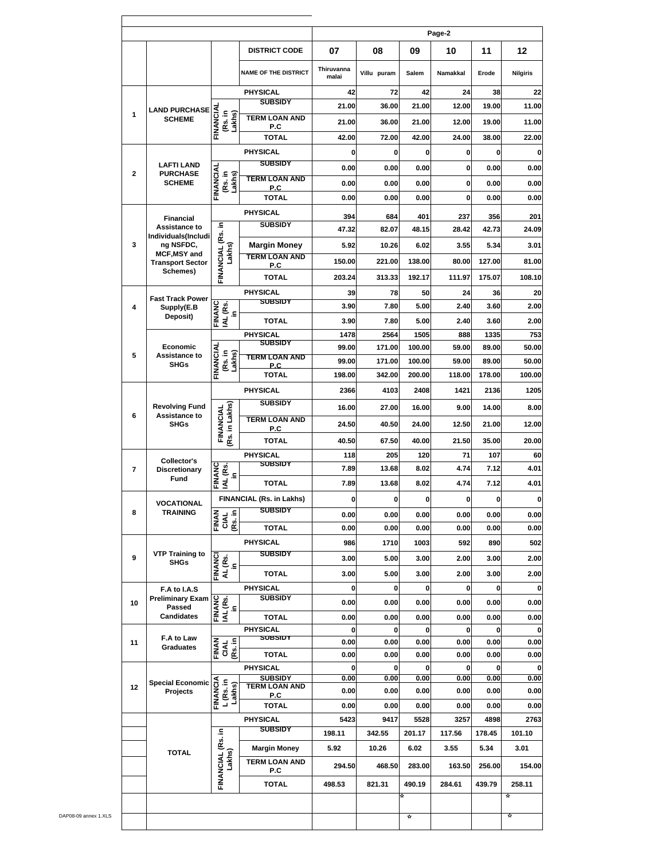|                                   |                                         |                                 |                                        |                     |                |                     | Page-2         |                |                 |
|-----------------------------------|-----------------------------------------|---------------------------------|----------------------------------------|---------------------|----------------|---------------------|----------------|----------------|-----------------|
|                                   |                                         |                                 | <b>DISTRICT CODE</b>                   | 07                  | 08             | 09                  | 10             | 11             | 12              |
|                                   |                                         |                                 | <b>NAME OF THE DISTRICT</b>            | Thiruvanna<br>malai | Villu puram    | Salem               | Namakkal       | Erode          | <b>Nilgiris</b> |
|                                   |                                         |                                 | PHYSICAL                               | 42                  | 72             | 42                  | 24             | 38             |                 |
|                                   | <b>LAND PURCHASE</b>                    |                                 | <b>SUBSIDY</b>                         | 21.00               | 36.00          | 21.00               | 12.00          | 19.00          | 11.00           |
| 1                                 | <b>SCHEME</b>                           | FINANCIA<br>(Rs. in<br>Lakhs)   | <b>TERM LOAN AND</b><br>P.C            | 21.00               | 36.00          | 21.00               | 12.00          | 19.00          | 11.00           |
|                                   |                                         |                                 | <b>TOTAL</b>                           | 42.00               | 72.00          | 42.00               | 24.00          | 38.00          | 22.00           |
|                                   |                                         |                                 | <b>PHYSICAL</b>                        | 0                   | 0              | 0                   | 0              | 0              |                 |
| $\mathbf{2}$                      | <b>LAFTI LAND</b><br><b>PURCHASE</b>    |                                 | <b>SUBSIDY</b>                         | 0.00                | 0.00           | 0.00                | 0              | 0.00           | 0.00            |
|                                   | <b>SCHEME</b>                           | FINANCIAL<br>(Rs. in<br>Lakhs)  | <b>TERM LOAN AND</b><br>P.C            | 0.00                | 0.00           | 0.00                | 0              | 0.00           | 0.00            |
|                                   |                                         |                                 | <b>TOTAL</b>                           | 0.00                | 0.00           | 0.00                | 0              | 0.00           | 0.00            |
|                                   | <b>Financial</b>                        |                                 | PHYSICAL                               | 394                 | 684            | 401                 | 237            | 356            | 201             |
|                                   | Assistance to                           | ءِ                              | <b>SUBSIDY</b>                         | 47.32               | 82.07          | 48.15               | 28.42          | 42.73          | 24.09           |
| 3                                 | Individuals(Includi<br>ng NSFDC,        |                                 | <b>Margin Money</b>                    | 5.92                | 10.26          | 6.02                | 3.55           | 5.34           | 3.01            |
|                                   | MCF, MSY and<br><b>Transport Sector</b> | Lakhs)                          | <b>TERM LOAN AND</b><br>P.C            | 150.00              | 221.00         | 138.00              | 80.00          | 127.00         | 81.00           |
|                                   | Schemes)                                | FINANCIAL (Rs.                  | <b>TOTAL</b>                           | 203.24              | 313.33         | 192.17              | 111.97         | 175.07         | 108.10          |
|                                   |                                         |                                 | <b>PHYSICAL</b>                        | 39                  | 78             | 50                  | 24             | 36             |                 |
| 4                                 | <b>Fast Track Power</b><br>Supply(E.B   |                                 | <b>SUBSIDY</b>                         | 3.90                | 7.80           | 5.00                | 2.40           | 3.60           | 2.00            |
|                                   | Deposit)                                | FINANC<br>IAL (Rs.<br>£.        | <b>TOTAL</b>                           | 3.90                | 7.80           | 5.00                | 2.40           | 3.60           | 2.00            |
|                                   |                                         |                                 | <b>PHYSICAL</b>                        | 1478                | 2564           | 1505                | 888            | 1335           | 753             |
|                                   | Economic                                |                                 | <b>SUBSIDY</b>                         | 99.00               | 171.00         | 100.00              | 59.00          | 89.00          | 50.00           |
| 5<br>Assistance to<br><b>SHGs</b> | FINANCIAL<br>(Rs. in<br>Lakhs)          | TERM LOAN AND<br>P.C            | 99.00                                  | 171.00              | 100.00         | 59.00               | 89.00          | 50.00          |                 |
|                                   |                                         |                                 | <b>TOTAL</b>                           | 198.00              | 342.00         | 200.00              | 118.00         | 178.00         | 100.00          |
|                                   |                                         |                                 | <b>PHYSICAL</b>                        | 2366                | 4103           | 2408                | 1421           | 2136           | 1205            |
|                                   | <b>Revolving Fund</b>                   |                                 | <b>SUBSIDY</b>                         | 16.00               | 27.00          | 16.00               | 9.00           | 14.00          | 8.00            |
| 6                                 | Assistance to<br><b>SHGs</b>            | Rs. in Lakhs)<br>FINANCIAL      | <b>TERM LOAN AND</b>                   | 24.50               | 40.50          | 24.00               | 12.50          | 21.00          | 12.00           |
|                                   |                                         |                                 | P.C<br><b>TOTAL</b>                    |                     |                |                     | 21.50          |                |                 |
|                                   |                                         |                                 | <b>PHYSICAL</b>                        | 40.50<br>118        | 67.50<br>205   | 40.00<br>120        | 71             | 35.00<br>107   | 20.00           |
| $\overline{7}$                    | Collector's<br><b>Discretionarv</b>     |                                 | <b>SUBSIDY</b>                         | 7.89                | 13.68          | 8.02                | 4.74           | 7.12           | 4.01            |
|                                   | Fund                                    | FINANC<br>IAL (Rs.<br>in        | <b>TOTAL</b>                           | 7.89                | 13.68          | 8.02                | 4.74           | 7.12           | 4.01            |
|                                   |                                         |                                 | FINANCIAL (Rs. in Lakhs)               |                     | 0              | 0                   | 0              | 0              |                 |
| 8                                 | <b>VOCATIONAL</b><br><b>TRAINING</b>    |                                 | <b>SUBSIDY</b>                         | 0.00                | 0.00           | 0.00                | 0.00           | 0.00           |                 |
|                                   |                                         | <b>FINAN<br/>CIAL</b><br>CIAL   | <b>TOTAL</b>                           | 0.00                | 0.00           | 0.00                | 0.00           | 0.00           | 0.00<br>0.00    |
|                                   |                                         |                                 | PHYSICAL                               | 986                 | 1710           | 1003                | 592            | 890            | 502             |
| 9                                 | <b>VTP Training to</b>                  |                                 | <b>SUBSIDY</b>                         |                     |                |                     |                |                |                 |
|                                   | <b>SHGs</b>                             | FINANCI<br>$AL(Rs.$ in          |                                        | 3.00                | 5.00           | 3.00                | 2.00           | 3.00           | 2.00            |
|                                   |                                         |                                 | <b>TOTAL</b><br>PHYSICAL               | 3.00                | 5.00           | 3.00                | 2.00           | 3.00           | 2.00            |
| 10                                | F.A to I.A.S<br><b>Preliminary Exam</b> |                                 | <b>SUBSIDY</b>                         | 0<br>0.00           | 0<br>0.00      | 0<br>0.00           | 0<br>0.00      | 0<br>0.00      | 0.00            |
|                                   | <b>Passed</b><br><b>Candidates</b>      | FINANC<br>IAL (Rs.<br>in        |                                        |                     |                |                     |                |                |                 |
|                                   |                                         |                                 | <b>TOTAL</b><br><b>PHYSICAL</b>        | 0.00<br>0           | 0.00<br>0      | 0.00<br>$\mathbf 0$ | 0.00<br>0      | 0.00<br>0      | 0.00            |
| F.A to Law<br>11                  |                                         |                                 | SUBSIDT                                | 0.00                | 0.00           | 0.00                | 0.00           | 0.00           | 0.00            |
|                                   | <b>Graduates</b>                        | CIAL<br>(Rs. in<br>FINAN        | TOTAL                                  | 0.00                | 0.00           | 0.00                | 0.00           | 0.00           | 0.00            |
|                                   |                                         |                                 | PHYSICAL                               | 0                   | 0              | $\mathbf 0$         | 0              | 0              |                 |
| 12<br>Projects                    | <b>Special Economic</b>                 |                                 | <b>SUBSIDY</b><br><b>TERM LOAN AND</b> | 0.00                | 0.00           | 0.00                | 0.00           | 0.00           | 0.00            |
|                                   |                                         | FINANCIA<br>L (Rs. in<br>Lakhs) | P.C                                    | 0.00                | 0.00           | 0.00                | 0.00           | 0.00           | 0.00            |
|                                   |                                         |                                 | <b>TOTAL</b><br>PHYSICAL               | 0.00                | 0.00           | 0.00                | 0.00           | 0.00           | 0.00            |
|                                   |                                         | ءِ.                             | <b>SUBSIDY</b>                         | 5423<br>198.11      | 9417<br>342.55 | 5528<br>201.17      | 3257<br>117.56 | 4898<br>178.45 | 2763<br>101.10  |
|                                   |                                         |                                 | <b>Margin Money</b>                    | 5.92                | 10.26          | 6.02                | 3.55           | 5.34           | 3.01            |
|                                   | <b>TOTAL</b>                            | Lakhs)                          | <b>TERM LOAN AND</b>                   |                     |                |                     |                |                |                 |
|                                   |                                         | FINANCIAL (Rs.                  | P.C                                    | 294.50              | 468.50         | 283.00              | 163.50         | 256.00         | 154.00          |
|                                   |                                         |                                 | <b>TOTAL</b>                           | 498.53              | 821.31         | 490.19              | 284.61         | 439.79         | 258.11          |
|                                   |                                         |                                 |                                        |                     |                | ₩                   |                |                | ☆               |
|                                   |                                         |                                 |                                        |                     |                |                     |                |                |                 |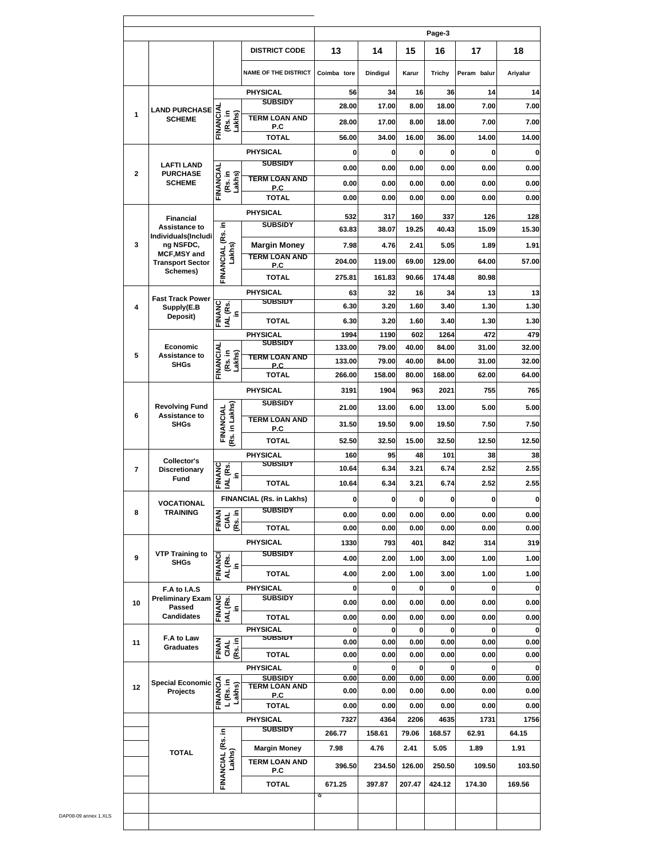|                                           |                                         |                                 |                                             |                  |                |                | Page-3         |                |                |
|-------------------------------------------|-----------------------------------------|---------------------------------|---------------------------------------------|------------------|----------------|----------------|----------------|----------------|----------------|
|                                           |                                         |                                 | <b>DISTRICT CODE</b>                        | 13               | 14             | 15             | 16             | 17             | 18             |
|                                           |                                         |                                 | <b>NAME OF THE DISTRICT</b>                 | Coimba tore      | Dindigul       | Karur          | Trichy         | Peram balur    | Ariyalur       |
|                                           |                                         |                                 | <b>PHYSICAL</b>                             | 56               | 34             | 16             | 36             | 14             | 14             |
|                                           | <b>LAND PURCHASE</b>                    |                                 | <b>SUBSIDY</b>                              | 28.00            | 17.00          | 8.00           | 18.00          | 7.00           | 7.00           |
| 1                                         | <b>SCHEME</b>                           | FINANCIAL<br>(Rs. in<br>Lakhs)  | <b>TERM LOAN AND</b><br>P.C                 | 28.00            | 17.00          | 8.00           | 18.00          | 7.00           | 7.00           |
|                                           |                                         |                                 | <b>TOTAL</b>                                | 56.00            | 34.00          | 16.00          | 36.00          | 14.00          | 14.00          |
|                                           |                                         |                                 | <b>PHYSICAL</b>                             | 0                | 0              | 0              | 0              | $\bf{0}$       |                |
|                                           | <b>LAFTI LAND</b>                       |                                 | <b>SUBSIDY</b>                              | 0.00             | 0.00           | 0.00           | 0.00           | 0.00           | 0.00           |
| $\overline{2}$                            | <b>PURCHASE</b><br><b>SCHEME</b>        | FINANCIAL<br>(Rs. in<br>Lakhs)  | <b>TERM LOAN AND</b>                        | 0.00             | 0.00           | 0.00           | 0.00           | 0.00           | 0.00           |
|                                           |                                         |                                 | P.C<br><b>TOTAL</b>                         | 0.00             | 0.00           | 0.00           | 0.00           | 0.00           | 0.00           |
|                                           |                                         |                                 | <b>PHYSICAL</b>                             |                  |                |                |                |                |                |
|                                           | <b>Financial</b><br>Assistance to       |                                 | <b>SUBSIDY</b>                              | 532<br>63.83     | 317<br>38.07   | 160<br>19.25   | 337<br>40.43   | 126<br>15.09   | 128<br>15.30   |
| 3                                         | Individuals(Includi<br>ng NSFDC,        | FINANCIAL (Rs. in               |                                             |                  |                |                |                |                |                |
|                                           | <b>MCF, MSY and</b>                     | Lakhs)                          | <b>Margin Money</b><br><b>TERM LOAN AND</b> | 7.98             | 4.76           | 2.41           | 5.05           | 1.89           | 1.91           |
|                                           | <b>Transport Sector</b><br>Schemes)     |                                 | P.C                                         | 204.00           | 119.00         | 69.00          | 129.00         | 64.00          | 57.00          |
|                                           |                                         |                                 | <b>TOTAL</b>                                | 275.81           | 161.83         | 90.66          | 174.48         | 80.98          |                |
|                                           | <b>Fast Track Power</b>                 |                                 | <b>PHYSICAL</b><br><b>SUBSIDY</b>           | 63               | 32             | 16             | 34             | 13             |                |
| 4                                         | Supply(E.B<br>Deposit)                  | FINANC<br>IAL (Rs.<br>Ξ.        |                                             | 6.30             | 3.20           | 1.60           | 3.40           | 1.30           | 1.30           |
|                                           |                                         |                                 | <b>TOTAL</b>                                | 6.30             | 3.20           | 1.60           | 3.40           | 1.30           | 1.30           |
|                                           | Economic                                |                                 | <b>PHYSICAL</b><br><b>SUBSIDY</b>           | 1994             | 1190           | 602            | 1264           | 472            | 479            |
| 5                                         | <b>Assistance to</b>                    | (Rs. in<br>Lakhs)               | TERM LOAN AND                               | 133.00<br>133.00 | 79.00<br>79.00 | 40.00<br>40.00 | 84.00<br>84.00 | 31.00<br>31.00 | 32.00<br>32.00 |
|                                           | <b>SHGs</b>                             | FINANCIAL                       | P.C<br><b>TOTAL</b>                         | 266.00           | 158.00         | 80.00          | 168.00         | 62.00          | 64.00          |
|                                           |                                         |                                 | <b>PHYSICAL</b>                             | 3191             | 1904           | 963            | 2021           | 755            | 765            |
|                                           |                                         |                                 | <b>SUBSIDY</b>                              |                  |                |                |                |                |                |
| <b>Revolving Fund</b><br>6<br><b>SHGs</b> | Assistance to                           |                                 | <b>TERM LOAN AND</b>                        | 21.00            | 13.00          | 6.00           | 13.00          | 5.00           | 5.00           |
|                                           |                                         | Rs. in Lakhs)<br>FINANCIAL      | P.C                                         | 31.50            | 19.50          | 9.00           | 19.50          | 7.50           | 7.50           |
|                                           |                                         |                                 | <b>TOTAL</b>                                | 52.50            | 32.50          | 15.00          | 32.50          | 12.50          | 12.50          |
|                                           | Collector's                             |                                 | <b>PHYSICAL</b><br><b>SUBSIDY</b>           | 160              | 95             | 48             | 101            | 38             |                |
| $\overline{7}$                            | Discretionary<br><b>Fund</b>            | FINANC<br>IAL (Rs.<br>£.        |                                             | 10.64            | 6.34           | 3.21           | 6.74           | 2.52           | 2.55           |
|                                           |                                         |                                 | <b>TOTAL</b>                                | 10.64            | 6.34           | 3.21           | 6.74           | 2.52           | 2.55           |
|                                           | VOCATIONAL                              |                                 | FINANCIAL (Rs. in Lakhs)<br><b>SUBSIDY</b>  | 0                | 0              | 0              | 0              | 0              |                |
| 8                                         | <b>TRAINING</b>                         | <b>FINAN</b><br>CIAL<br>(Rs. in |                                             | 0.00             | 0.00           | 0.00           | 0.00           | 0.00           | 0.00           |
|                                           |                                         |                                 | <b>TOTAL</b>                                | 0.00             | 0.00           | 0.00           | 0.00           | 0.00           | 0.00           |
|                                           | <b>VTP Training to</b>                  |                                 | PHYSICAL<br><b>SUBSIDY</b>                  | 1330             | 793            | 401            | 842            | 314            | 319            |
| 9                                         | <b>SHGs</b>                             | FINANCI<br>AL (Rs.<br>in        |                                             | 4.00             | 2.00           | 1.00           | 3.00           | 1.00           | 1.00           |
|                                           |                                         |                                 | <b>TOTAL</b>                                | 4.00             | 2.00           | 1.00           | 3.00           | 1.00           | 1.00           |
|                                           | F.A to I.A.S<br><b>Preliminary Exam</b> |                                 | PHYSICAL<br><b>SUBSIDY</b>                  | 0                | 0              | 0              | 0              | 0              |                |
| 10                                        | <b>Passed</b>                           | FINANC<br>IAL (RS.<br>Ξ.        |                                             | 0.00             | 0.00           | 0.00           | 0.00           | 0.00           | 0.00           |
|                                           | <b>Candidates</b>                       |                                 | <b>TOTAL</b>                                | 0.00             | 0.00           | 0.00           | 0.00           | 0.00           | 0.00           |
| 11                                        | F.A to Law                              |                                 | PHYSICAL<br><b>SUBSIDT</b>                  | 0<br>0.00        | 0<br>0.00      | 0<br>0.00      | 0<br>0.00      | 0<br>0.00      | 0.00           |
|                                           | <b>Graduates</b>                        | CIAL<br>(Rs. in<br>FINAN        | <b>TOTAL</b>                                | 0.00             | 0.00           | 0.00           | 0.00           | 0.00           | 0.00           |
|                                           |                                         |                                 | PHYSICAL                                    | 0                | 0              | 0              | 0              | $\bf{0}$       |                |
|                                           | <b>Special Economic</b>                 |                                 | <b>SUBSIDY</b><br><b>TERM LOAN AND</b>      | 0.00             | 0.00           | 0.00           | 0.00           | 0.00           | 0.00           |
| 12                                        | Projects                                | FINANCIA<br>L (Rs. in<br>Lakhs) | P.C                                         | 0.00             | 0.00           | 0.00           | 0.00           | 0.00           | 0.00           |
|                                           |                                         |                                 | <b>TOTAL</b>                                | 0.00             | 0.00           | 0.00           | 0.00           | 0.00           | 0.00           |
|                                           |                                         |                                 | <b>PHYSICAL</b><br><b>SUBSIDY</b>           | 7327             | 4364           | 2206           | 4635           | 1731           | 1756           |
|                                           |                                         |                                 |                                             | 266.77           | 158.61         | 79.06          | 168.57         | 62.91          | 64.15          |
|                                           | <b>TOTAL</b>                            | Lakhs)                          | <b>Margin Money</b>                         | 7.98             | 4.76           | 2.41           | 5.05           | 1.89           | 1.91           |
|                                           |                                         | FINANCIAL (Rs. in               | <b>TERM LOAN AND</b><br>P.C                 | 396.50           | 234.50         | 126.00         | 250.50         | 109.50         | 103.50         |
|                                           |                                         |                                 |                                             |                  |                |                |                |                |                |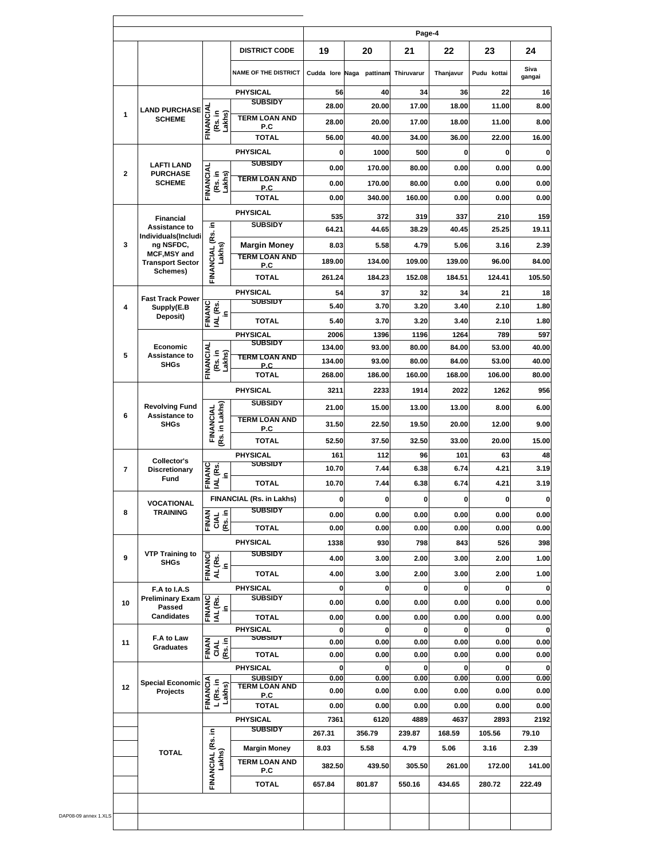|                           |                                                       |                                      |                             |              |               | Page-4       |              |              |                |
|---------------------------|-------------------------------------------------------|--------------------------------------|-----------------------------|--------------|---------------|--------------|--------------|--------------|----------------|
|                           |                                                       |                                      | <b>DISTRICT CODE</b>        | 19           | 20            | 21           | 22           | 23           | 24             |
|                           |                                                       |                                      | <b>NAME OF THE DISTRICT</b> | Cudda lore   | Naga pattinam | Thiruvarur   | Thanjavur    | Pudu kottai  | Siva<br>gangai |
|                           |                                                       |                                      | <b>PHYSICAL</b>             | 56           | 40            | 34           | 36           | 22           | 16             |
| <b>LAND PURCHASE</b><br>1 |                                                       |                                      | <b>SUBSIDY</b>              | 28.00        | 20.00         | 17.00        | 18.00        | 11.00        | 8.00           |
|                           | <b>SCHEME</b>                                         | <b>FINANCIA</b><br>(Rs. in<br>Lakhs) | <b>TERM LOAN AND</b><br>P.C | 28.00        | 20.00         | 17.00        | 18.00        | 11.00        | 8.00           |
|                           |                                                       |                                      | <b>TOTAL</b>                | 56.00        | 40.00         | 34.00        | 36.00        | 22.00        | 16.00          |
|                           |                                                       |                                      | <b>PHYSICAL</b>             | 0            | 1000          | 500          | 0            | 0            |                |
| $\mathbf{2}$              | <b>LAFTI LAND</b><br><b>PURCHASE</b>                  |                                      | <b>SUBSIDY</b>              | 0.00         | 170.00        | 80.00        | 0.00         | 0.00         | 0.00           |
|                           | <b>SCHEME</b>                                         | FINANCIAL<br>(Rs. in<br>Lakhs)       | <b>TERM LOAN AND</b><br>P.C | 0.00         | 170.00        | 80.00        | 0.00         | 0.00         | 0.00           |
|                           |                                                       |                                      | <b>TOTAL</b>                | 0.00         | 340.00        | 160.00       | 0.00         | 0.00         | 0.00           |
|                           | <b>Financial</b>                                      |                                      | <b>PHYSICAL</b>             | 535          | 372           | 319          | 337          | 210          | 159            |
|                           | Assistance to                                         |                                      | <b>SUBSIDY</b>              | 64.21        | 44.65         | 38.29        | 40.45        | 25.25        | 19.11          |
| 3                         | Individuals(Includi<br>ng NSFDC,                      | FINANCIAL (Rs. in                    | <b>Margin Money</b>         | 8.03         | 5.58          | 4.79         | 5.06         | 3.16         | 2.39           |
|                           | <b>MCF, MSY and</b>                                   | Lakhs)                               | <b>TERM LOAN AND</b>        | 189.00       | 134.00        | 109.00       | 139.00       | 96.00        | 84.00          |
|                           | <b>Transport Sector</b><br>Schemes)                   |                                      | P.C                         |              |               |              |              |              |                |
|                           |                                                       |                                      | <b>TOTAL</b>                | 261.24       | 184.23        | 152.08       | 184.51       | 124.41       | 105.50         |
|                           | <b>Fast Track Power</b>                               |                                      | PHYSICAL<br><b>SUBSIDY</b>  | 54           | 37            | 32           | 34           | 21           |                |
| 4                         | Supply(E.B<br>Deposit)                                | <b>FINANC</b><br>IAL (Rs.<br>£.      | TOTAL                       | 5.40<br>5.40 | 3.70<br>3.70  | 3.20<br>3.20 | 3.40<br>3.40 | 2.10<br>2.10 | 1.80           |
|                           |                                                       |                                      | <b>PHYSICAL</b>             | 2006         | 1396          | 1196         | 1264         | 789          | 1.80<br>597    |
|                           | Economic                                              |                                      | <b>SUBSIDY</b>              | 134.00       | 93.00         | 80.00        | 84.00        | 53.00        | 40.00          |
| 5                         | Assistance to                                         | (Rs. in<br>Lakhs)                    | <b>TERM LOAN AND</b>        | 134.00       | 93.00         | 80.00        | 84.00        | 53.00        | 40.00          |
| <b>SHGs</b>               | FINANCIAL                                             | P.C.<br><b>TOTAL</b>                 | 268.00                      | 186.00       | 160.00        | 168.00       | 106.00       | 80.00        |                |
|                           |                                                       |                                      | <b>PHYSICAL</b>             | 3211         | 2233          | 1914         | 2022         | 1262         | 956            |
|                           | <b>Revolving Fund</b><br>Assistance to<br><b>SHGs</b> |                                      | <b>SUBSIDY</b>              |              |               |              |              |              |                |
| 6                         |                                                       | Rs. in Lakhs)<br>FINANCIAL           | <b>TERM LOAN AND</b>        | 21.00        | 15.00         | 13.00        | 13.00        | 8.00         | 6.00           |
|                           |                                                       |                                      | P.C                         | 31.50        | 22.50         | 19.50        | 20.00        | 12.00        | 9.00           |
|                           |                                                       |                                      | <b>TOTAL</b>                | 52.50        | 37.50         | 32.50        | 33.00        | 20.00        | 15.00          |
|                           | Collector's                                           |                                      | PHYSICAL<br><b>SUBSIDY</b>  | 161          | 112           | 96           | 101          | 63           |                |
| 7                         | <b>Discretionary</b><br>Fund                          | <b>FINANC</b><br>IAL (Rs.<br>Ξ.      |                             | 10.70        | 7.44          | 6.38         | 6.74         | 4.21         | 3.19           |
|                           |                                                       |                                      | <b>TOTAL</b>                | 10.70        | 7.44          | 6.38         | 6.74         | 4.21         | 3.19           |
|                           | <b>VOCATIONAL</b>                                     |                                      | FINANCIAL (Rs. in Lakhs)    | 0            | 0             | $\mathbf 0$  | 0            | 0            |                |
| 8                         | TRAINING                                              | FINAN<br>CIAL<br>(Rs. in             | <b>SUBSIDY</b>              | 0.00         | 0.00          | 0.00         | 0.00         | 0.00         | 0.00           |
|                           |                                                       |                                      | <b>TOTAL</b>                | 0.00         | 0.00          | 0.00         | 0.00         | 0.00         | 0.00           |
|                           |                                                       |                                      | <b>PHYSICAL</b>             | 1338         | 930           | 798          | 843          | 526          | 398            |
| 9                         | <b>VTP Training to</b><br><b>SHGs</b>                 | FINANCI<br>AL (Rs.<br>in             | <b>SUBSIDY</b>              | 4.00         | 3.00          | 2.00         | 3.00         | 2.00         | 1.00           |
|                           |                                                       |                                      | <b>TOTAL</b>                | 4.00         | 3.00          | 2.00         | 3.00         | 2.00         | 1.00           |
|                           | F.A to I.A.S                                          |                                      | PHYSICAL                    | 0            | 0             | $\mathbf 0$  | 0            | 0            |                |
| 10                        | <b>Preliminary Exam</b><br>Passed                     | FINANC<br>IAL (Rs.<br>In             | <b>SUBSIDY</b>              | 0.00         | 0.00          | 0.00         | 0.00         | 0.00         | 0.00           |
|                           | <b>Candidates</b>                                     |                                      | <b>TOTAL</b>                | 0.00         | 0.00          | 0.00         | 0.00         | 0.00         | 0.00           |
|                           | F.A to Law                                            |                                      | PHYSICAL<br>SUBSIDT         | 0            | $\mathbf 0$   | $\mathbf 0$  | 0            | 0            |                |
| 11                        | <b>Graduates</b>                                      | FINAN<br>CIAL<br>(Rs. in             | <b>TOTAL</b>                | 0.00<br>0.00 | 0.00<br>0.00  | 0.00<br>0.00 | 0.00<br>0.00 | 0.00<br>0.00 | 0.00<br>0.00   |
|                           |                                                       |                                      | PHYSICAL                    | 0            | $\bf o$       | $\mathbf{0}$ | 0            | 0            |                |
|                           | <b>Special Economic</b>                               |                                      | <b>SUBSIDY</b>              | 0.00         | 0.00          | 0.00         | 0.00         | 0.00         | 0.00           |
| 12                        | Projects                                              | FINANCIA<br>L(Rs. in<br>Lakhs)       | <b>TERM LOAN AND</b><br>P.C | 0.00         | 0.00          | 0.00         | 0.00         | 0.00         | 0.00           |
|                           |                                                       |                                      | TOTAL                       | 0.00         | 0.00          | 0.00         | 0.00         | 0.00         | 0.00           |
|                           |                                                       |                                      | PHYSICAL                    | 7361         | 6120          | 4889         | 4637         | 2893         | 2192           |
|                           |                                                       |                                      | <b>SUBSIDY</b>              | 267.31       | 356.79        | 239.87       | 168.59       | 105.56       | 79.10          |
|                           | <b>TOTAL</b>                                          |                                      | <b>Margin Money</b>         | 8.03         | 5.58          | 4.79         | 5.06         | 3.16         | 2.39           |
|                           |                                                       | FINANCIAL (Rs. in<br>Lakhs)          | <b>TERM LOAN AND</b><br>P.C | 382.50       | 439.50        | 305.50       | 261.00       | 172.00       | 141.00         |
|                           |                                                       |                                      |                             |              |               |              |              |              |                |
|                           |                                                       |                                      | <b>TOTAL</b>                | 657.84       | 801.87        | 550.16       | 434.65       | 280.72       | 222.49         |

 $\mathbf{r}$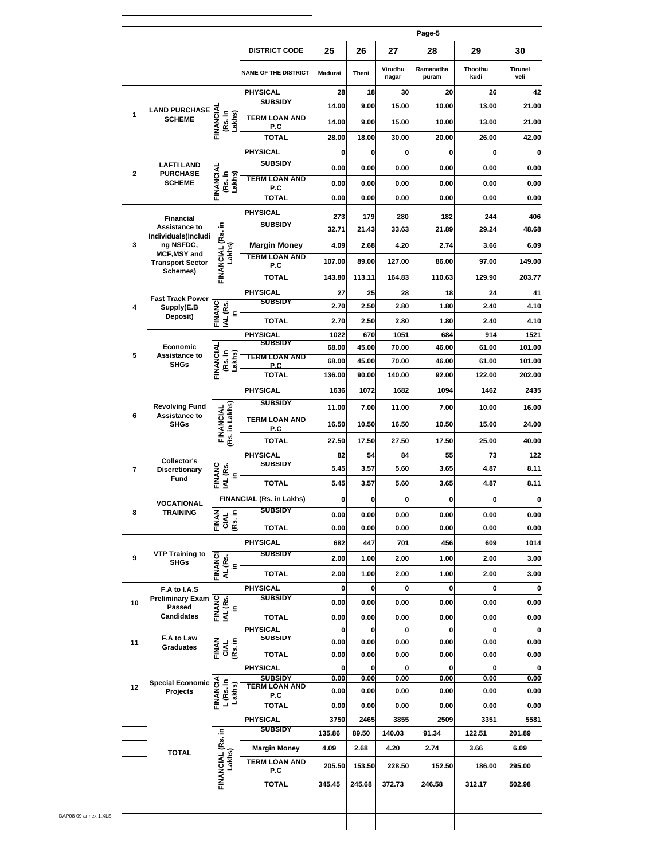|                                                      |                                          |                                 |                                   |                  |                |                  | Page-5             |                  |                 |
|------------------------------------------------------|------------------------------------------|---------------------------------|-----------------------------------|------------------|----------------|------------------|--------------------|------------------|-----------------|
|                                                      |                                          |                                 | <b>DISTRICT CODE</b>              | 25               | 26             | 27               | 28                 | 29               | 30              |
|                                                      |                                          |                                 | <b>NAME OF THE DISTRICT</b>       | <b>Madurai</b>   | Theni          | Virudhu<br>nagar | Ramanatha<br>puram | Thoothu<br>kudi  | Tirunel<br>veli |
|                                                      |                                          |                                 | <b>PHYSICAL</b>                   | 28               | 18             | 30               | 20                 | 26               | 42              |
| <b>LAND PURCHASE</b><br>1                            |                                          |                                 | <b>SUBSIDY</b>                    | 14.00            | 9.00           | 15.00            | 10.00              | 13.00            | 21.00           |
|                                                      | <b>SCHEME</b>                            | FINANCIA<br>(Rs. in<br>Lakhs)   | <b>TERM LOAN AND</b><br>P.C       | 14.00            | 9.00           | 15.00            | 10.00              | 13.00            | 21.00           |
|                                                      |                                          |                                 | <b>TOTAL</b>                      | 28.00            | 18.00          | 30.00            | 20.00              | 26.00            | 42.00           |
|                                                      |                                          |                                 | <b>PHYSICAL</b>                   | 0                | 0              | 0                | 0                  | 0                |                 |
| $\mathbf{2}$                                         | <b>LAFTI LAND</b><br><b>PURCHASE</b>     |                                 | <b>SUBSIDY</b>                    | 0.00             | 0.00           | 0.00             | 0.00               | 0.00             | 0.00            |
|                                                      | <b>SCHEME</b>                            | FINANCIAL<br>(Rs. in<br>Lakhs)  | <b>TERM LOAN AND</b><br>P.C.      | 0.00             | 0.00           | 0.00             | 0.00               | 0.00             | 0.00            |
|                                                      |                                          |                                 | <b>TOTAL</b>                      | 0.00             | 0.00           | 0.00             | 0.00               | 0.00             | 0.00            |
|                                                      | <b>Financial</b>                         |                                 | <b>PHYSICAL</b>                   | 273              | 179            | 280              | 182                | 244              | 406             |
|                                                      | Assistance to<br>Individuals(Includi     | ءِ                              | <b>SUBSIDY</b>                    | 32.71            | 21.43          | 33.63            | 21.89              | 29.24            | 48.68           |
| 3                                                    | ng NSFDC,<br><b>MCF, MSY and</b>         | FINANCIAL (Rs.<br>Lakhs)        | <b>Margin Money</b>               | 4.09             | 2.68           | 4.20             | 2.74               | 3.66             | 6.09            |
|                                                      | <b>Transport Sector</b>                  |                                 | <b>TERM LOAN AND</b><br>P.C       | 107.00           | 89.00          | 127.00           | 86.00              | 97.00            | 149.00          |
|                                                      | Schemes)                                 |                                 | <b>TOTAL</b>                      | 143.80           | 113.11         | 164.83           | 110.63             | 129.90           | 203.77          |
|                                                      | <b>Fast Track Power</b>                  |                                 | <b>PHYSICAL</b>                   | 27               | 25             | 28               | 18                 | 24               |                 |
| 4                                                    | Supply(E.B                               | <b>FINANC</b><br>IAL (Rs.<br>ءِ | <b>SUBSIDY</b>                    | 2.70             | 2.50           | 2.80             | 1.80               | 2.40             | 4.10            |
|                                                      | Deposit)                                 |                                 | <b>TOTAL</b>                      | 2.70             | 2.50           | 2.80             | 1.80               | 2.40             | 4.10            |
|                                                      |                                          |                                 | <b>PHYSICAL</b><br><b>SUBSIDY</b> | 1022             | 670            | 1051             | 684                | 914              | 1521            |
| Economic<br>5<br><b>Assistance to</b><br><b>SHGs</b> | FINANCIAL<br>(Rs. in<br>Lakhs)           | TERM LOAN AND                   | 68.00<br>68.00                    | 45.00<br>45.00   | 70.00<br>70.00 | 46.00<br>46.00   | 61.00<br>61.00     | 101.00<br>101.00 |                 |
|                                                      |                                          |                                 | P.C<br><b>TOTAL</b>               | 136.00           | 90.00          | 140.00           | 92.00              | 122.00           | 202.00          |
|                                                      |                                          |                                 | <b>PHYSICAL</b>                   | 1636             | 1072           | 1682             | 1094               | 1462             | 2435            |
|                                                      |                                          |                                 | <b>SUBSIDY</b>                    |                  |                |                  |                    |                  |                 |
| 6                                                    | <b>Revolving Fund</b><br>Assistance to   | Rs. in Lakhs)<br>FINANCIAL      | <b>TERM LOAN AND</b>              | 11.00            | 7.00           | 11.00            | 7.00               | 10.00            | 16.00           |
| <b>SHGs</b>                                          |                                          | P.C                             | 16.50                             | 10.50            | 16.50          | 10.50            | 15.00              | 24.00            |                 |
|                                                      |                                          |                                 | <b>TOTAL</b>                      | 27.50            | 17.50          | 27.50            | 17.50              | 25.00            | 40.00           |
|                                                      | <b>Collector's</b>                       |                                 | <b>PHYSICAL</b><br><b>SUBSIDY</b> | 82<br>5.45       | 54<br>3.57     | 84<br>5.60       | 55<br>3.65         | 73<br>4.87       | 122<br>8.11     |
| $\overline{7}$                                       | <b>Discretionary</b><br>Fund             | FINANC<br>IAL (Rs.<br>£.        | <b>TOTAL</b>                      | 5.45             | 3.57           | 5.60             | 3.65               | 4.87             | 8.11            |
|                                                      |                                          |                                 | FINANCIAL (Rs. in Lakhs)          |                  | 0              | O                | 0                  | 0                |                 |
| 8                                                    | <b>VOCATIONAL</b><br><b>TRAINING</b>     |                                 | <b>SUBSIDY</b>                    | $\bf{0}$<br>0.00 | 0.00           | 0.00             | 0.00               | 0.00             | 0.00            |
|                                                      |                                          | FINAN<br>CIAL<br>(Rs. in        | <b>TOTAL</b>                      | 0.00             | 0.00           | 0.00             | 0.00               | 0.00             | 0.00            |
|                                                      |                                          |                                 | <b>PHYSICAL</b>                   | 682              | 447            | 701              | 456                | 609              | 1014            |
| 9                                                    | <b>VTP Training to</b>                   |                                 | <b>SUBSIDY</b>                    | 2.00             | 1.00           | 2.00             | 1.00               | 2.00             | 3.00            |
|                                                      | <b>SHGs</b>                              | FINANCI<br>$AL(Rs.$ in          | <b>TOTAL</b>                      | 2.00             | 1.00           | 2.00             | 1.00               | 2.00             | 3.00            |
|                                                      | F.A to I.A.S                             |                                 | <b>PHYSICAL</b>                   | 0                | 0              | 0                | 0                  | 0                |                 |
| 10                                                   | <b>Preliminary Exam</b><br><b>Passed</b> |                                 | <b>SUBSIDY</b>                    | 0.00             | 0.00           | 0.00             | 0.00               | 0.00             | 0.00            |
|                                                      | <b>Candidates</b>                        | in<br>IAL (Rs.<br>FINANC        | <b>TOTAL</b>                      | 0.00             | 0.00           | 0.00             | 0.00               | 0.00             | 0.00            |
|                                                      |                                          |                                 | <b>PHYSICAL</b><br>SUBSIDT        | 0                | 0              | 0                | 0                  | 0                |                 |
| 11                                                   | F.A to Law<br><b>Graduates</b>           | CIAL<br>(Rs. in<br>FINAN        |                                   | 0.00             | 0.00           | 0.00             | 0.00               | 0.00             | 0.00            |
|                                                      |                                          |                                 | <b>TOTAL</b><br><b>PHYSICAL</b>   | 0.00<br>0        | 0.00<br>0      | 0.00<br>0        | 0.00<br>0          | 0.00<br>0        | 0.00            |
|                                                      | <b>Special Economic</b>                  |                                 | <b>SUBSIDY</b>                    | 0.00             | 0.00           | 0.00             | 0.00               | 0.00             | 0.00            |
| 12                                                   | Projects                                 | FINANCIA<br>L (Rs. in<br>Lakhs) | <b>TERM LOAN AND</b><br>P.C       | 0.00             | 0.00           | 0.00             | 0.00               | 0.00             | 0.00            |
|                                                      |                                          |                                 | <b>TOTAL</b>                      | 0.00             | 0.00           | 0.00             | 0.00               | 0.00             | 0.00            |
|                                                      |                                          |                                 | <b>PHYSICAL</b>                   | 3750             | 2465           | 3855             | 2509               | 3351             | 5581            |
|                                                      |                                          | £.                              | <b>SUBSIDY</b>                    | 135.86           | 89.50          | 140.03           | 91.34              | 122.51           | 201.89          |
|                                                      | <b>TOTAL</b>                             |                                 | <b>Margin Money</b>               | 4.09             | 2.68           | 4.20             | 2.74               | 3.66             | 6.09            |
|                                                      |                                          | FINANCIAL (Rs.<br>Lakhs)        | <b>TERM LOAN AND</b><br>P.C       | 205.50           | 153.50         | 228.50           | 152.50             | 186.00           | 295.00          |
|                                                      |                                          |                                 | <b>TOTAL</b>                      | 345.45           | 245.68         | 372.73           | 246.58             | 312.17           | 502.98          |
|                                                      |                                          |                                 |                                   |                  |                |                  |                    |                  |                 |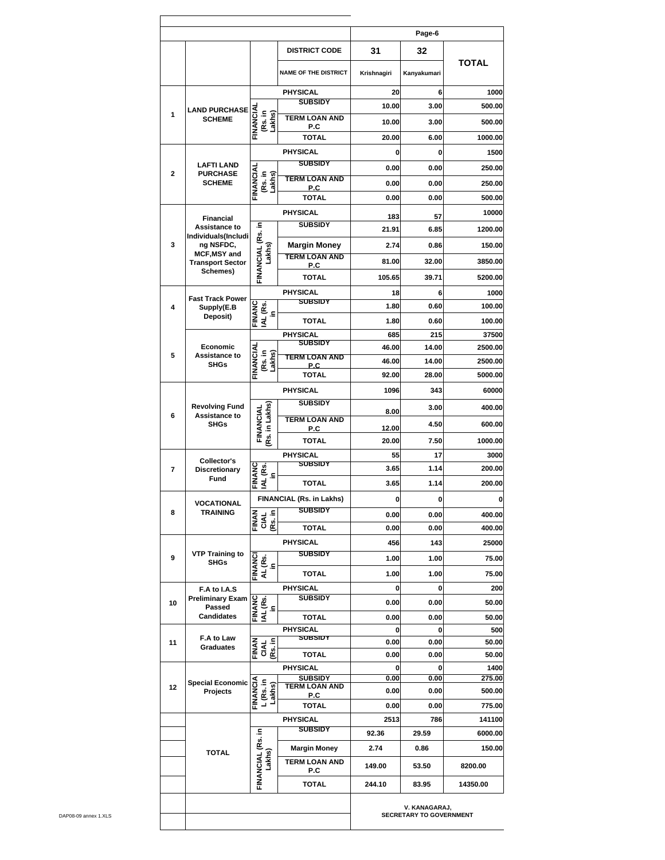|                    |                                       |                                             |                                             |             | Page-6                                          |                |
|--------------------|---------------------------------------|---------------------------------------------|---------------------------------------------|-------------|-------------------------------------------------|----------------|
|                    |                                       |                                             | <b>DISTRICT CODE</b>                        | 31          | 32                                              |                |
|                    |                                       |                                             | <b>NAME OF THE DISTRICT</b>                 | Krishnagiri | Kanyakumari                                     | <b>TOTAL</b>   |
|                    |                                       |                                             | <b>PHYSICAL</b><br><b>SUBSIDY</b>           | 20          | 6                                               | 1000           |
| 1                  | <b>LAND PURCHASE</b>                  |                                             |                                             | 10.00       | 3.00                                            | 500.00         |
|                    | <b>SCHEME</b>                         | FINANCIAL<br>(Rs. in<br>Lakhs)              | <b>TERM LOAN AND</b><br>P.C                 | 10.00       | 3.00                                            | 500.00         |
|                    |                                       |                                             | <b>TOTAL</b>                                | 20.00       | 6.00                                            | 1000.00        |
|                    |                                       |                                             | <b>PHYSICAL</b>                             | 0           | 0                                               | 1500           |
|                    | <b>LAFTI LAND</b>                     |                                             | <b>SUBSIDY</b>                              | 0.00        | 0.00                                            | 250.00         |
| $\mathbf{2}$       | <b>PURCHASE</b><br><b>SCHEME</b>      | FINANCIAL<br>(Rs. in<br>Lakhs)              | <b>TERM LOAN AND</b>                        | 0.00        | 0.00                                            | 250.00         |
|                    |                                       |                                             | P.C<br><b>TOTAL</b>                         | 0.00        | 0.00                                            | 500.00         |
|                    |                                       |                                             | <b>PHYSICAL</b>                             |             |                                                 | 10000          |
|                    | Financial<br>Assistance to            |                                             | <b>SUBSIDY</b>                              | 183         | 57                                              |                |
|                    | Individuals(Includi                   | FINANCIAL (Rs. in                           |                                             | 21.91       | 6.85                                            | 1200.00        |
| 3                  | ng NSFDC,<br>MCF, MSY and             | Lakhs)                                      | <b>Margin Money</b>                         | 2.74        | 0.86                                            | 150.00         |
|                    | <b>Transport Sector</b>               |                                             | <b>TERM LOAN AND</b><br>P.C                 | 81.00       | 32.00                                           | 3850.00        |
|                    | Schemes)                              |                                             | <b>TOTAL</b>                                | 105.65      | 39.71                                           | 5200.00        |
|                    |                                       |                                             | <b>PHYSICAL</b>                             | 18          | 6                                               | 1000           |
| 4                  | <b>Fast Track Power</b><br>Supply(E.B |                                             | <b>SUBSIDY</b>                              | 1.80        | 0.60                                            | 100.00         |
|                    | Deposit)                              | <b>FINANC</b><br>IAL (Rs.<br>£.             | <b>TOTAL</b>                                | 1.80        | 0.60                                            | 100.00         |
|                    |                                       |                                             | <b>PHYSICAL</b>                             | 685         | 215                                             | 37500          |
|                    | Economic                              |                                             | <b>SUBSIDY</b>                              | 46.00       | 14.00                                           | 2500.00        |
| 5                  | Assistance to<br><b>SHGs</b>          | FINANCIAL<br>(Rs. in<br>Lakhs)              | <b>TERM LOAN AND</b><br>P.C.                | 46.00       | 14.00                                           | 2500.00        |
|                    |                                       |                                             | <b>TOTAL</b>                                | 92.00       | 28.00                                           | 5000.00        |
|                    |                                       |                                             | <b>PHYSICAL</b>                             | 1096        | 343                                             | 60000          |
|                    | <b>Revolving Fund</b>                 |                                             | <b>SUBSIDY</b>                              |             | 3.00                                            | 400.00         |
| 6<br>Assistance to |                                       | Rs. in Lakhs)<br>FINANCIAL                  | <b>TERM LOAN AND</b>                        | 8.00        |                                                 |                |
|                    | <b>SHGs</b>                           |                                             | P.C                                         | 12.00       | 4.50                                            | 600.00         |
|                    |                                       |                                             | <b>TOTAL</b>                                | 20.00       | 7.50                                            | 1000.00        |
|                    | Collector's                           |                                             | <b>PHYSICAL</b><br><b>SUBSIDY</b>           | 55          | 17                                              | 3000           |
| 7                  | <b>Discretionary</b><br>Fund          | FINANC<br>IAL (Rs.<br>£.                    |                                             | 3.65        | 1.14                                            | 200.00         |
|                    |                                       |                                             | <b>TOTAL</b>                                | 3.65        | 1.14                                            | 200.00         |
|                    | VOCATIONAL                            |                                             | FINANCIAL (Rs. in Lakhs)                    | 0           | 0                                               |                |
| 8                  | <b>TRAINING</b>                       | FINAN<br>CIAL<br>(Rs. in                    | <b>SUBSIDY</b>                              | 0.00        | 0.00                                            | 400.00         |
|                    |                                       |                                             | <b>TOTAL</b>                                | 0.00        | 0.00                                            | 400.00         |
|                    |                                       |                                             | PHYSICAL                                    | 456         | 143                                             | 25000          |
| 9                  | <b>VTP Training to</b><br><b>SHGs</b> |                                             | <b>SUBSIDY</b>                              | 1.00        | 1.00                                            | 75.00          |
|                    |                                       | FINANC<br>AL (Rs.<br>in                     | TOTAL                                       | 1.00        | 1.00                                            | 75.00          |
|                    | F.A to I.A.S                          |                                             | PHYSICAL                                    | 0           | 0                                               | 200            |
| 10                 | <b>Preliminary Exam</b><br>Passed     | $\mathop{\mathsf{es}}\limits_{\mathsf{in}}$ | <b>SUBSIDY</b>                              | 0.00        | 0.00                                            | 50.00          |
|                    | <b>Candidates</b>                     | FINANC<br>보                                 | <b>TOTAL</b>                                | 0.00        | 0.00                                            | 50.00          |
|                    |                                       |                                             | PHYSICAL                                    | 0           | 0                                               | 500            |
| 11                 | F.A to Law<br><b>Graduates</b>        | FINAN<br>CIAL<br>(Rs. in                    | <b>SUBSIDT</b>                              | 0.00        | 0.00                                            | 50.00          |
|                    |                                       |                                             | TOTAL                                       | 0.00        | 0.00                                            | 50.00          |
|                    |                                       |                                             | PHYSICAL<br><b>SUBSIDY</b>                  | 0<br>0.00   | 0<br>0.00                                       | 1400<br>275.00 |
| 12                 | <b>Special Economic</b><br>Projects   | FINANCIA<br>L (Rs. in<br>Lakhs)             | <b>TERM LOAN AND</b>                        | 0.00        | 0.00                                            | 500.00         |
|                    |                                       |                                             | P.C<br>TOTAL                                | 0.00        | 0.00                                            | 775.00         |
|                    |                                       |                                             | <b>PHYSICAL</b>                             | 2513        | 786                                             | 141100         |
|                    |                                       |                                             | <b>SUBSIDY</b>                              | 92.36       | 29.59                                           | 6000.00        |
|                    |                                       |                                             |                                             | 2.74        | 0.86                                            | 150.00         |
|                    | <b>TOTAL</b>                          | Lakhs)                                      | <b>Margin Money</b><br><b>TERM LOAN AND</b> |             |                                                 |                |
|                    |                                       | FINANCIAL (Rs. in                           | P.C                                         | 149.00      | 53.50                                           | 8200.00        |
|                    |                                       |                                             | <b>TOTAL</b>                                | 244.10      | 83.95                                           | 14350.00       |
|                    |                                       |                                             |                                             |             | V. KANAGARAJ,<br><b>SECRETARY TO GOVERNMENT</b> |                |

r,